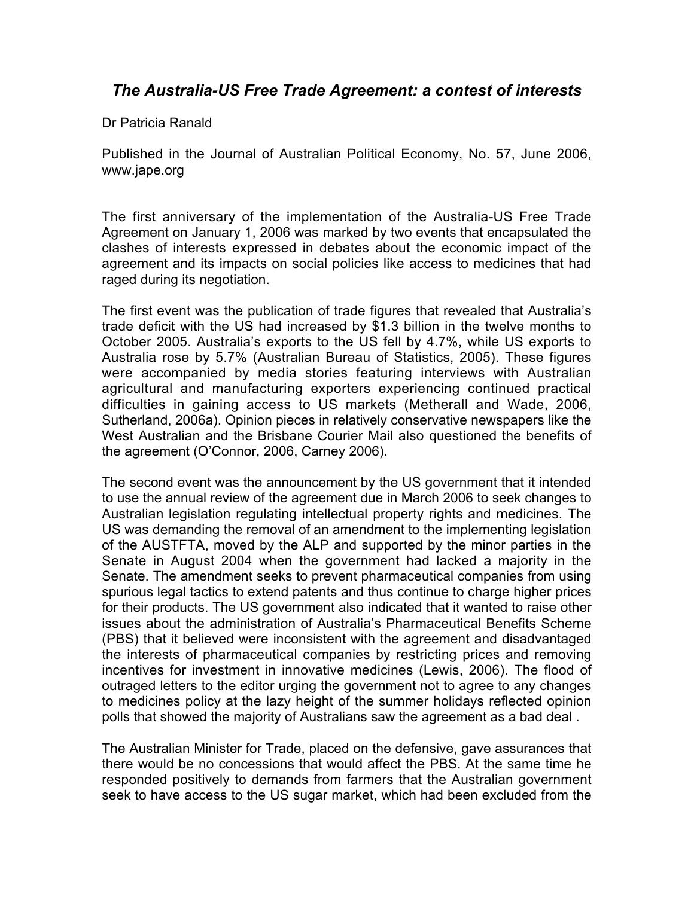## *The Australia-US Free Trade Agreement: a contest of interests*

Dr Patricia Ranald

Published in the Journal of Australian Political Economy, No. 57, June 2006, www.jape.org

The first anniversary of the implementation of the Australia-US Free Trade Agreement on January 1, 2006 was marked by two events that encapsulated the clashes of interests expressed in debates about the economic impact of the agreement and its impacts on social policies like access to medicines that had raged during its negotiation.

The first event was the publication of trade figures that revealed that Australia's trade deficit with the US had increased by \$1.3 billion in the twelve months to October 2005. Australia's exports to the US fell by 4.7%, while US exports to Australia rose by 5.7% (Australian Bureau of Statistics, 2005). These figures were accompanied by media stories featuring interviews with Australian agricultural and manufacturing exporters experiencing continued practical difficulties in gaining access to US markets (Metherall and Wade, 2006, Sutherland, 2006a). Opinion pieces in relatively conservative newspapers like the West Australian and the Brisbane Courier Mail also questioned the benefits of the agreement (O'Connor, 2006, Carney 2006).

The second event was the announcement by the US government that it intended to use the annual review of the agreement due in March 2006 to seek changes to Australian legislation regulating intellectual property rights and medicines. The US was demanding the removal of an amendment to the implementing legislation of the AUSTFTA, moved by the ALP and supported by the minor parties in the Senate in August 2004 when the government had lacked a majority in the Senate. The amendment seeks to prevent pharmaceutical companies from using spurious legal tactics to extend patents and thus continue to charge higher prices for their products. The US government also indicated that it wanted to raise other issues about the administration of Australia's Pharmaceutical Benefits Scheme (PBS) that it believed were inconsistent with the agreement and disadvantaged the interests of pharmaceutical companies by restricting prices and removing incentives for investment in innovative medicines (Lewis, 2006). The flood of outraged letters to the editor urging the government not to agree to any changes to medicines policy at the lazy height of the summer holidays reflected opinion polls that showed the majority of Australians saw the agreement as a bad deal .

The Australian Minister for Trade, placed on the defensive, gave assurances that there would be no concessions that would affect the PBS. At the same time he responded positively to demands from farmers that the Australian government seek to have access to the US sugar market, which had been excluded from the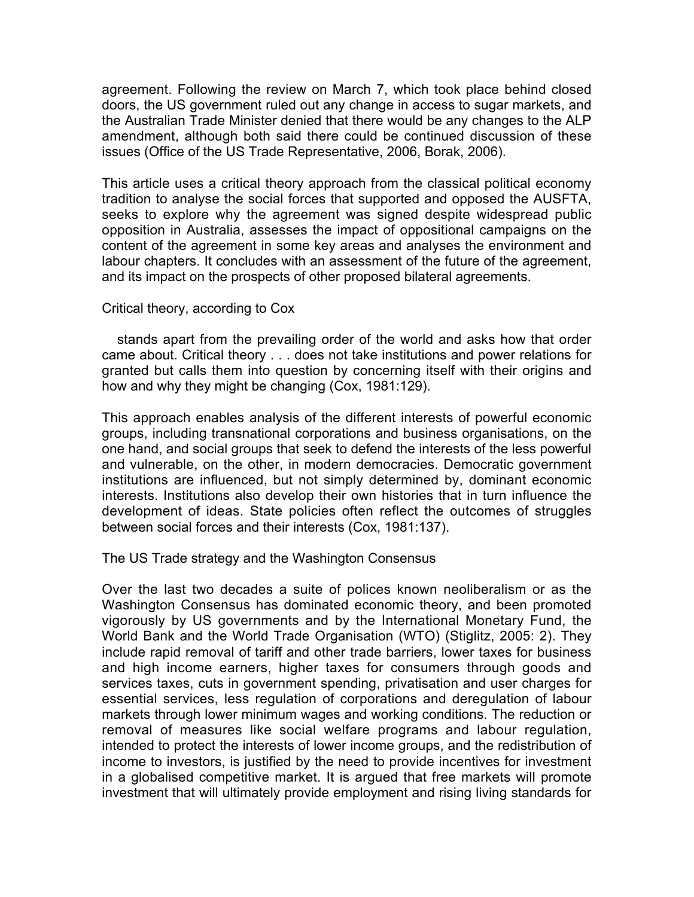agreement. Following the review on March 7, which took place behind closed doors, the US government ruled out any change in access to sugar markets, and the Australian Trade Minister denied that there would be any changes to the ALP amendment, although both said there could be continued discussion of these issues (Office of the US Trade Representative, 2006, Borak, 2006).

This article uses a critical theory approach from the classical political economy tradition to analyse the social forces that supported and opposed the AUSFTA, seeks to explore why the agreement was signed despite widespread public opposition in Australia, assesses the impact of oppositional campaigns on the content of the agreement in some key areas and analyses the environment and labour chapters. It concludes with an assessment of the future of the agreement, and its impact on the prospects of other proposed bilateral agreements.

## Critical theory, according to Cox

 stands apart from the prevailing order of the world and asks how that order came about. Critical theory . . . does not take institutions and power relations for granted but calls them into question by concerning itself with their origins and how and why they might be changing (Cox, 1981:129).

This approach enables analysis of the different interests of powerful economic groups, including transnational corporations and business organisations, on the one hand, and social groups that seek to defend the interests of the less powerful and vulnerable, on the other, in modern democracies. Democratic government institutions are influenced, but not simply determined by, dominant economic interests. Institutions also develop their own histories that in turn influence the development of ideas. State policies often reflect the outcomes of struggles between social forces and their interests (Cox, 1981:137).

The US Trade strategy and the Washington Consensus

Over the last two decades a suite of polices known neoliberalism or as the Washington Consensus has dominated economic theory, and been promoted vigorously by US governments and by the International Monetary Fund, the World Bank and the World Trade Organisation (WTO) (Stiglitz, 2005: 2). They include rapid removal of tariff and other trade barriers, lower taxes for business and high income earners, higher taxes for consumers through goods and services taxes, cuts in government spending, privatisation and user charges for essential services, less regulation of corporations and deregulation of labour markets through lower minimum wages and working conditions. The reduction or removal of measures like social welfare programs and labour regulation, intended to protect the interests of lower income groups, and the redistribution of income to investors, is justified by the need to provide incentives for investment in a globalised competitive market. It is argued that free markets will promote investment that will ultimately provide employment and rising living standards for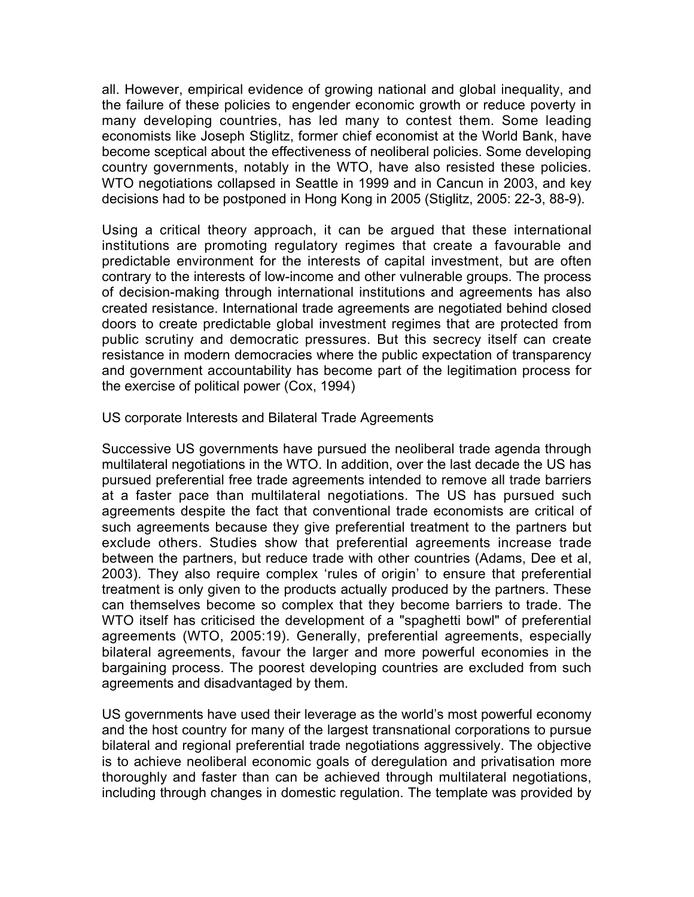all. However, empirical evidence of growing national and global inequality, and the failure of these policies to engender economic growth or reduce poverty in many developing countries, has led many to contest them. Some leading economists like Joseph Stiglitz, former chief economist at the World Bank, have become sceptical about the effectiveness of neoliberal policies. Some developing country governments, notably in the WTO, have also resisted these policies. WTO negotiations collapsed in Seattle in 1999 and in Cancun in 2003, and key decisions had to be postponed in Hong Kong in 2005 (Stiglitz, 2005: 22-3, 88-9).

Using a critical theory approach, it can be argued that these international institutions are promoting regulatory regimes that create a favourable and predictable environment for the interests of capital investment, but are often contrary to the interests of low-income and other vulnerable groups. The process of decision-making through international institutions and agreements has also created resistance. International trade agreements are negotiated behind closed doors to create predictable global investment regimes that are protected from public scrutiny and democratic pressures. But this secrecy itself can create resistance in modern democracies where the public expectation of transparency and government accountability has become part of the legitimation process for the exercise of political power (Cox, 1994)

US corporate Interests and Bilateral Trade Agreements

Successive US governments have pursued the neoliberal trade agenda through multilateral negotiations in the WTO. In addition, over the last decade the US has pursued preferential free trade agreements intended to remove all trade barriers at a faster pace than multilateral negotiations. The US has pursued such agreements despite the fact that conventional trade economists are critical of such agreements because they give preferential treatment to the partners but exclude others. Studies show that preferential agreements increase trade between the partners, but reduce trade with other countries (Adams, Dee et al, 2003). They also require complex 'rules of origin' to ensure that preferential treatment is only given to the products actually produced by the partners. These can themselves become so complex that they become barriers to trade. The WTO itself has criticised the development of a "spaghetti bowl" of preferential agreements (WTO, 2005:19). Generally, preferential agreements, especially bilateral agreements, favour the larger and more powerful economies in the bargaining process. The poorest developing countries are excluded from such agreements and disadvantaged by them.

US governments have used their leverage as the world's most powerful economy and the host country for many of the largest transnational corporations to pursue bilateral and regional preferential trade negotiations aggressively. The objective is to achieve neoliberal economic goals of deregulation and privatisation more thoroughly and faster than can be achieved through multilateral negotiations, including through changes in domestic regulation. The template was provided by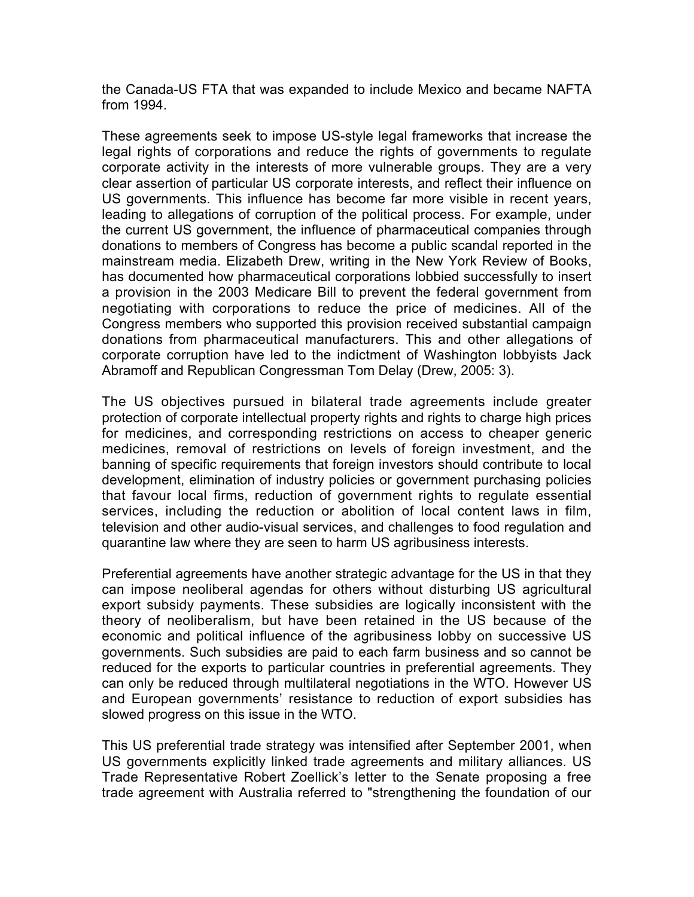the Canada-US FTA that was expanded to include Mexico and became NAFTA from 1994.

These agreements seek to impose US-style legal frameworks that increase the legal rights of corporations and reduce the rights of governments to regulate corporate activity in the interests of more vulnerable groups. They are a very clear assertion of particular US corporate interests, and reflect their influence on US governments. This influence has become far more visible in recent years, leading to allegations of corruption of the political process. For example, under the current US government, the influence of pharmaceutical companies through donations to members of Congress has become a public scandal reported in the mainstream media. Elizabeth Drew, writing in the New York Review of Books, has documented how pharmaceutical corporations lobbied successfully to insert a provision in the 2003 Medicare Bill to prevent the federal government from negotiating with corporations to reduce the price of medicines. All of the Congress members who supported this provision received substantial campaign donations from pharmaceutical manufacturers. This and other allegations of corporate corruption have led to the indictment of Washington lobbyists Jack Abramoff and Republican Congressman Tom Delay (Drew, 2005: 3).

The US objectives pursued in bilateral trade agreements include greater protection of corporate intellectual property rights and rights to charge high prices for medicines, and corresponding restrictions on access to cheaper generic medicines, removal of restrictions on levels of foreign investment, and the banning of specific requirements that foreign investors should contribute to local development, elimination of industry policies or government purchasing policies that favour local firms, reduction of government rights to regulate essential services, including the reduction or abolition of local content laws in film, television and other audio-visual services, and challenges to food regulation and quarantine law where they are seen to harm US agribusiness interests.

Preferential agreements have another strategic advantage for the US in that they can impose neoliberal agendas for others without disturbing US agricultural export subsidy payments. These subsidies are logically inconsistent with the theory of neoliberalism, but have been retained in the US because of the economic and political influence of the agribusiness lobby on successive US governments. Such subsidies are paid to each farm business and so cannot be reduced for the exports to particular countries in preferential agreements. They can only be reduced through multilateral negotiations in the WTO. However US and European governments' resistance to reduction of export subsidies has slowed progress on this issue in the WTO.

This US preferential trade strategy was intensified after September 2001, when US governments explicitly linked trade agreements and military alliances. US Trade Representative Robert Zoellick's letter to the Senate proposing a free trade agreement with Australia referred to "strengthening the foundation of our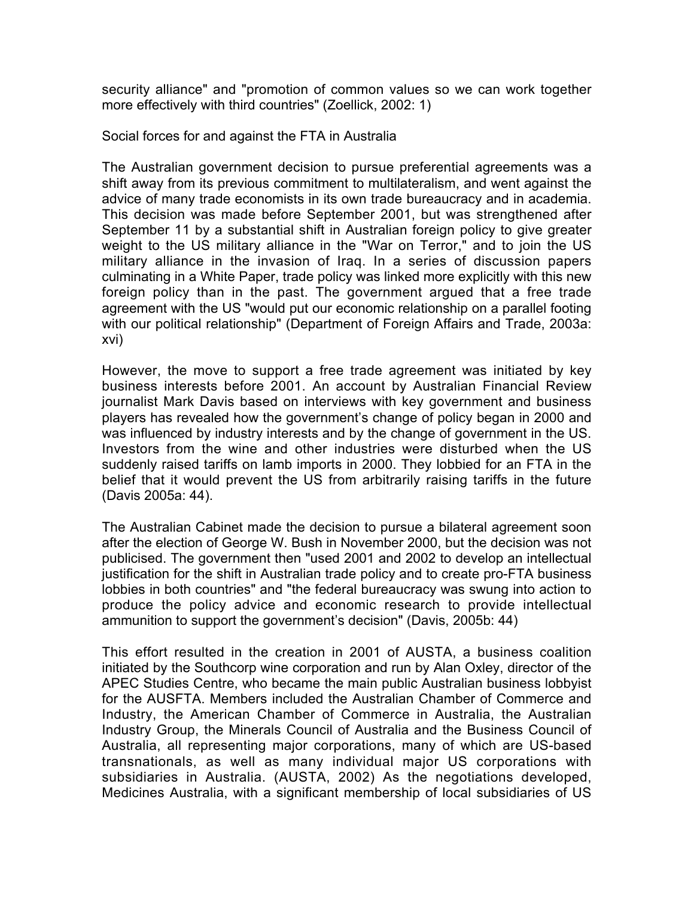security alliance" and "promotion of common values so we can work together more effectively with third countries" (Zoellick, 2002: 1)

Social forces for and against the FTA in Australia

The Australian government decision to pursue preferential agreements was a shift away from its previous commitment to multilateralism, and went against the advice of many trade economists in its own trade bureaucracy and in academia. This decision was made before September 2001, but was strengthened after September 11 by a substantial shift in Australian foreign policy to give greater weight to the US military alliance in the "War on Terror," and to join the US military alliance in the invasion of Iraq. In a series of discussion papers culminating in a White Paper, trade policy was linked more explicitly with this new foreign policy than in the past. The government argued that a free trade agreement with the US "would put our economic relationship on a parallel footing with our political relationship" (Department of Foreign Affairs and Trade, 2003a: xvi)

However, the move to support a free trade agreement was initiated by key business interests before 2001. An account by Australian Financial Review journalist Mark Davis based on interviews with key government and business players has revealed how the government's change of policy began in 2000 and was influenced by industry interests and by the change of government in the US. Investors from the wine and other industries were disturbed when the US suddenly raised tariffs on lamb imports in 2000. They lobbied for an FTA in the belief that it would prevent the US from arbitrarily raising tariffs in the future (Davis 2005a: 44).

The Australian Cabinet made the decision to pursue a bilateral agreement soon after the election of George W. Bush in November 2000, but the decision was not publicised. The government then "used 2001 and 2002 to develop an intellectual justification for the shift in Australian trade policy and to create pro-FTA business lobbies in both countries" and "the federal bureaucracy was swung into action to produce the policy advice and economic research to provide intellectual ammunition to support the government's decision" (Davis, 2005b: 44)

This effort resulted in the creation in 2001 of AUSTA, a business coalition initiated by the Southcorp wine corporation and run by Alan Oxley, director of the APEC Studies Centre, who became the main public Australian business lobbyist for the AUSFTA. Members included the Australian Chamber of Commerce and Industry, the American Chamber of Commerce in Australia, the Australian Industry Group, the Minerals Council of Australia and the Business Council of Australia, all representing major corporations, many of which are US-based transnationals, as well as many individual major US corporations with subsidiaries in Australia. (AUSTA, 2002) As the negotiations developed, Medicines Australia, with a significant membership of local subsidiaries of US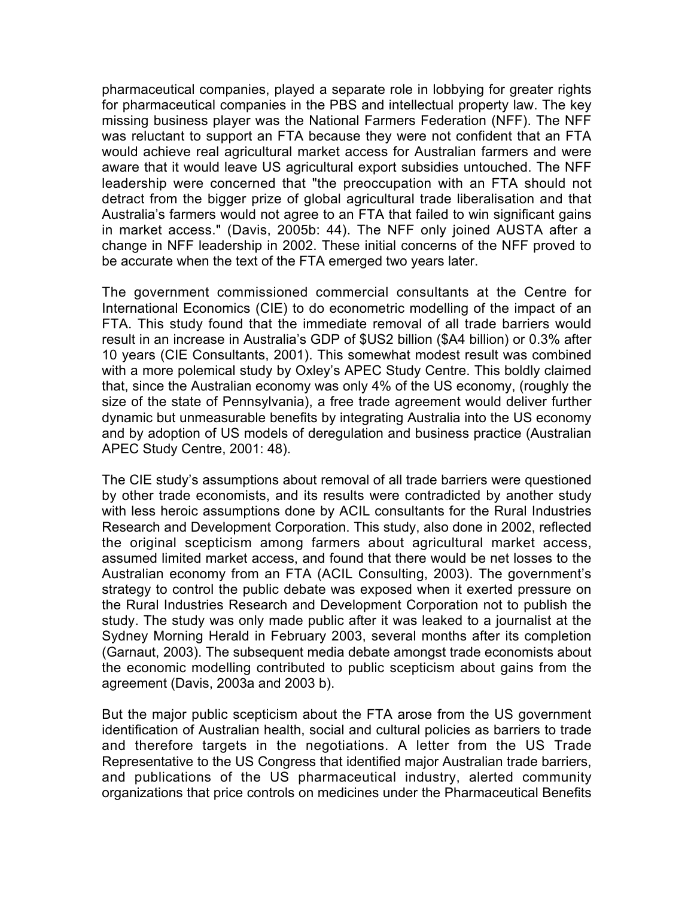pharmaceutical companies, played a separate role in lobbying for greater rights for pharmaceutical companies in the PBS and intellectual property law. The key missing business player was the National Farmers Federation (NFF). The NFF was reluctant to support an FTA because they were not confident that an FTA would achieve real agricultural market access for Australian farmers and were aware that it would leave US agricultural export subsidies untouched. The NFF leadership were concerned that "the preoccupation with an FTA should not detract from the bigger prize of global agricultural trade liberalisation and that Australia's farmers would not agree to an FTA that failed to win significant gains in market access." (Davis, 2005b: 44). The NFF only joined AUSTA after a change in NFF leadership in 2002. These initial concerns of the NFF proved to be accurate when the text of the FTA emerged two years later.

The government commissioned commercial consultants at the Centre for International Economics (CIE) to do econometric modelling of the impact of an FTA. This study found that the immediate removal of all trade barriers would result in an increase in Australia's GDP of \$US2 billion (\$A4 billion) or 0.3% after 10 years (CIE Consultants, 2001). This somewhat modest result was combined with a more polemical study by Oxley's APEC Study Centre. This boldly claimed that, since the Australian economy was only 4% of the US economy, (roughly the size of the state of Pennsylvania), a free trade agreement would deliver further dynamic but unmeasurable benefits by integrating Australia into the US economy and by adoption of US models of deregulation and business practice (Australian APEC Study Centre, 2001: 48).

The CIE study's assumptions about removal of all trade barriers were questioned by other trade economists, and its results were contradicted by another study with less heroic assumptions done by ACIL consultants for the Rural Industries Research and Development Corporation. This study, also done in 2002, reflected the original scepticism among farmers about agricultural market access, assumed limited market access, and found that there would be net losses to the Australian economy from an FTA (ACIL Consulting, 2003). The government's strategy to control the public debate was exposed when it exerted pressure on the Rural Industries Research and Development Corporation not to publish the study. The study was only made public after it was leaked to a journalist at the Sydney Morning Herald in February 2003, several months after its completion (Garnaut, 2003). The subsequent media debate amongst trade economists about the economic modelling contributed to public scepticism about gains from the agreement (Davis, 2003a and 2003 b).

But the major public scepticism about the FTA arose from the US government identification of Australian health, social and cultural policies as barriers to trade and therefore targets in the negotiations. A letter from the US Trade Representative to the US Congress that identified major Australian trade barriers, and publications of the US pharmaceutical industry, alerted community organizations that price controls on medicines under the Pharmaceutical Benefits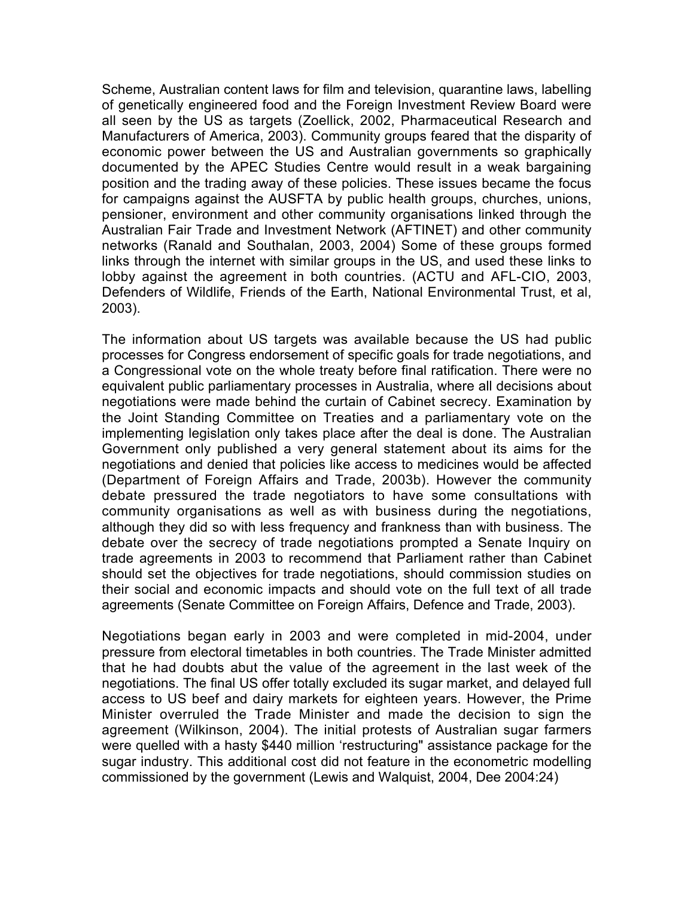Scheme, Australian content laws for film and television, quarantine laws, labelling of genetically engineered food and the Foreign Investment Review Board were all seen by the US as targets (Zoellick, 2002, Pharmaceutical Research and Manufacturers of America, 2003). Community groups feared that the disparity of economic power between the US and Australian governments so graphically documented by the APEC Studies Centre would result in a weak bargaining position and the trading away of these policies. These issues became the focus for campaigns against the AUSFTA by public health groups, churches, unions, pensioner, environment and other community organisations linked through the Australian Fair Trade and Investment Network (AFTINET) and other community networks (Ranald and Southalan, 2003, 2004) Some of these groups formed links through the internet with similar groups in the US, and used these links to lobby against the agreement in both countries. (ACTU and AFL-CIO, 2003, Defenders of Wildlife, Friends of the Earth, National Environmental Trust, et al, 2003).

The information about US targets was available because the US had public processes for Congress endorsement of specific goals for trade negotiations, and a Congressional vote on the whole treaty before final ratification. There were no equivalent public parliamentary processes in Australia, where all decisions about negotiations were made behind the curtain of Cabinet secrecy. Examination by the Joint Standing Committee on Treaties and a parliamentary vote on the implementing legislation only takes place after the deal is done. The Australian Government only published a very general statement about its aims for the negotiations and denied that policies like access to medicines would be affected (Department of Foreign Affairs and Trade, 2003b). However the community debate pressured the trade negotiators to have some consultations with community organisations as well as with business during the negotiations, although they did so with less frequency and frankness than with business. The debate over the secrecy of trade negotiations prompted a Senate Inquiry on trade agreements in 2003 to recommend that Parliament rather than Cabinet should set the objectives for trade negotiations, should commission studies on their social and economic impacts and should vote on the full text of all trade agreements (Senate Committee on Foreign Affairs, Defence and Trade, 2003).

Negotiations began early in 2003 and were completed in mid-2004, under pressure from electoral timetables in both countries. The Trade Minister admitted that he had doubts abut the value of the agreement in the last week of the negotiations. The final US offer totally excluded its sugar market, and delayed full access to US beef and dairy markets for eighteen years. However, the Prime Minister overruled the Trade Minister and made the decision to sign the agreement (Wilkinson, 2004). The initial protests of Australian sugar farmers were quelled with a hasty \$440 million 'restructuring" assistance package for the sugar industry. This additional cost did not feature in the econometric modelling commissioned by the government (Lewis and Walquist, 2004, Dee 2004:24)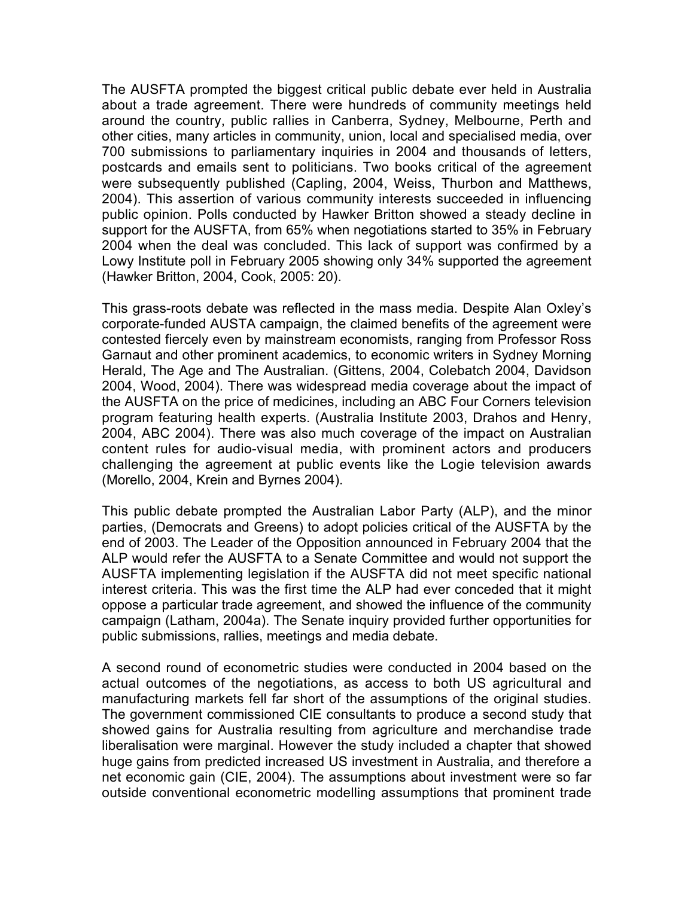The AUSFTA prompted the biggest critical public debate ever held in Australia about a trade agreement. There were hundreds of community meetings held around the country, public rallies in Canberra, Sydney, Melbourne, Perth and other cities, many articles in community, union, local and specialised media, over 700 submissions to parliamentary inquiries in 2004 and thousands of letters, postcards and emails sent to politicians. Two books critical of the agreement were subsequently published (Capling, 2004, Weiss, Thurbon and Matthews, 2004). This assertion of various community interests succeeded in influencing public opinion. Polls conducted by Hawker Britton showed a steady decline in support for the AUSFTA, from 65% when negotiations started to 35% in February 2004 when the deal was concluded. This lack of support was confirmed by a Lowy Institute poll in February 2005 showing only 34% supported the agreement (Hawker Britton, 2004, Cook, 2005: 20).

This grass-roots debate was reflected in the mass media. Despite Alan Oxley's corporate-funded AUSTA campaign, the claimed benefits of the agreement were contested fiercely even by mainstream economists, ranging from Professor Ross Garnaut and other prominent academics, to economic writers in Sydney Morning Herald, The Age and The Australian. (Gittens, 2004, Colebatch 2004, Davidson 2004, Wood, 2004). There was widespread media coverage about the impact of the AUSFTA on the price of medicines, including an ABC Four Corners television program featuring health experts. (Australia Institute 2003, Drahos and Henry, 2004, ABC 2004). There was also much coverage of the impact on Australian content rules for audio-visual media, with prominent actors and producers challenging the agreement at public events like the Logie television awards (Morello, 2004, Krein and Byrnes 2004).

This public debate prompted the Australian Labor Party (ALP), and the minor parties, (Democrats and Greens) to adopt policies critical of the AUSFTA by the end of 2003. The Leader of the Opposition announced in February 2004 that the ALP would refer the AUSFTA to a Senate Committee and would not support the AUSFTA implementing legislation if the AUSFTA did not meet specific national interest criteria. This was the first time the ALP had ever conceded that it might oppose a particular trade agreement, and showed the influence of the community campaign (Latham, 2004a). The Senate inquiry provided further opportunities for public submissions, rallies, meetings and media debate.

A second round of econometric studies were conducted in 2004 based on the actual outcomes of the negotiations, as access to both US agricultural and manufacturing markets fell far short of the assumptions of the original studies. The government commissioned CIE consultants to produce a second study that showed gains for Australia resulting from agriculture and merchandise trade liberalisation were marginal. However the study included a chapter that showed huge gains from predicted increased US investment in Australia, and therefore a net economic gain (CIE, 2004). The assumptions about investment were so far outside conventional econometric modelling assumptions that prominent trade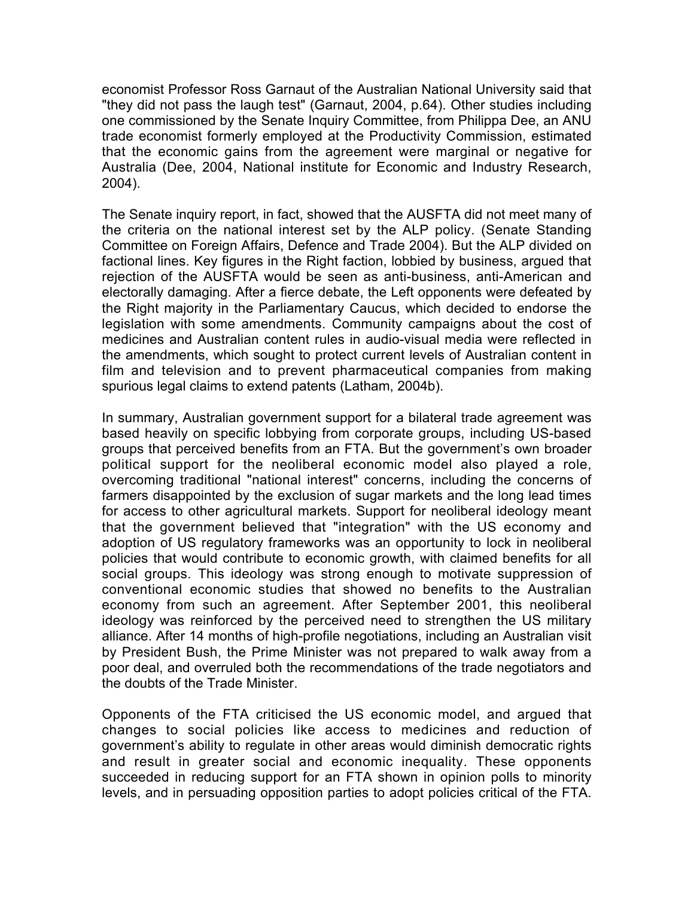economist Professor Ross Garnaut of the Australian National University said that "they did not pass the laugh test" (Garnaut, 2004, p.64). Other studies including one commissioned by the Senate Inquiry Committee, from Philippa Dee, an ANU trade economist formerly employed at the Productivity Commission, estimated that the economic gains from the agreement were marginal or negative for Australia (Dee, 2004, National institute for Economic and Industry Research, 2004).

The Senate inquiry report, in fact, showed that the AUSFTA did not meet many of the criteria on the national interest set by the ALP policy. (Senate Standing Committee on Foreign Affairs, Defence and Trade 2004). But the ALP divided on factional lines. Key figures in the Right faction, lobbied by business, argued that rejection of the AUSFTA would be seen as anti-business, anti-American and electorally damaging. After a fierce debate, the Left opponents were defeated by the Right majority in the Parliamentary Caucus, which decided to endorse the legislation with some amendments. Community campaigns about the cost of medicines and Australian content rules in audio-visual media were reflected in the amendments, which sought to protect current levels of Australian content in film and television and to prevent pharmaceutical companies from making spurious legal claims to extend patents (Latham, 2004b).

In summary, Australian government support for a bilateral trade agreement was based heavily on specific lobbying from corporate groups, including US-based groups that perceived benefits from an FTA. But the government's own broader political support for the neoliberal economic model also played a role, overcoming traditional "national interest" concerns, including the concerns of farmers disappointed by the exclusion of sugar markets and the long lead times for access to other agricultural markets. Support for neoliberal ideology meant that the government believed that "integration" with the US economy and adoption of US regulatory frameworks was an opportunity to lock in neoliberal policies that would contribute to economic growth, with claimed benefits for all social groups. This ideology was strong enough to motivate suppression of conventional economic studies that showed no benefits to the Australian economy from such an agreement. After September 2001, this neoliberal ideology was reinforced by the perceived need to strengthen the US military alliance. After 14 months of high-profile negotiations, including an Australian visit by President Bush, the Prime Minister was not prepared to walk away from a poor deal, and overruled both the recommendations of the trade negotiators and the doubts of the Trade Minister.

Opponents of the FTA criticised the US economic model, and argued that changes to social policies like access to medicines and reduction of government's ability to regulate in other areas would diminish democratic rights and result in greater social and economic inequality. These opponents succeeded in reducing support for an FTA shown in opinion polls to minority levels, and in persuading opposition parties to adopt policies critical of the FTA.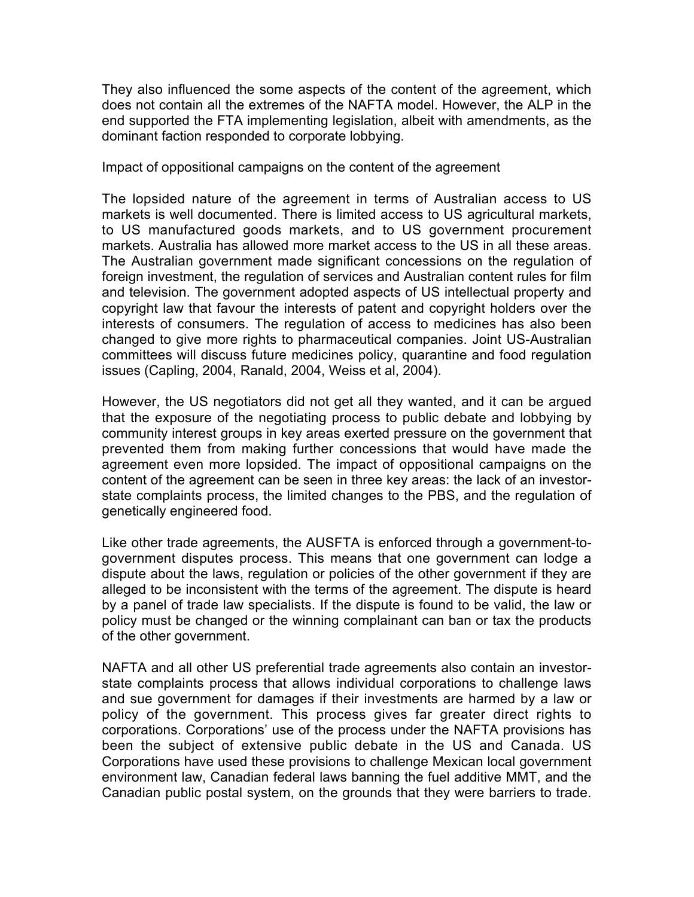They also influenced the some aspects of the content of the agreement, which does not contain all the extremes of the NAFTA model. However, the ALP in the end supported the FTA implementing legislation, albeit with amendments, as the dominant faction responded to corporate lobbying.

Impact of oppositional campaigns on the content of the agreement

The lopsided nature of the agreement in terms of Australian access to US markets is well documented. There is limited access to US agricultural markets, to US manufactured goods markets, and to US government procurement markets. Australia has allowed more market access to the US in all these areas. The Australian government made significant concessions on the regulation of foreign investment, the regulation of services and Australian content rules for film and television. The government adopted aspects of US intellectual property and copyright law that favour the interests of patent and copyright holders over the interests of consumers. The regulation of access to medicines has also been changed to give more rights to pharmaceutical companies. Joint US-Australian committees will discuss future medicines policy, quarantine and food regulation issues (Capling, 2004, Ranald, 2004, Weiss et al, 2004).

However, the US negotiators did not get all they wanted, and it can be argued that the exposure of the negotiating process to public debate and lobbying by community interest groups in key areas exerted pressure on the government that prevented them from making further concessions that would have made the agreement even more lopsided. The impact of oppositional campaigns on the content of the agreement can be seen in three key areas: the lack of an investorstate complaints process, the limited changes to the PBS, and the regulation of genetically engineered food.

Like other trade agreements, the AUSFTA is enforced through a government-togovernment disputes process. This means that one government can lodge a dispute about the laws, regulation or policies of the other government if they are alleged to be inconsistent with the terms of the agreement. The dispute is heard by a panel of trade law specialists. If the dispute is found to be valid, the law or policy must be changed or the winning complainant can ban or tax the products of the other government.

NAFTA and all other US preferential trade agreements also contain an investorstate complaints process that allows individual corporations to challenge laws and sue government for damages if their investments are harmed by a law or policy of the government. This process gives far greater direct rights to corporations. Corporations' use of the process under the NAFTA provisions has been the subject of extensive public debate in the US and Canada. US Corporations have used these provisions to challenge Mexican local government environment law, Canadian federal laws banning the fuel additive MMT, and the Canadian public postal system, on the grounds that they were barriers to trade.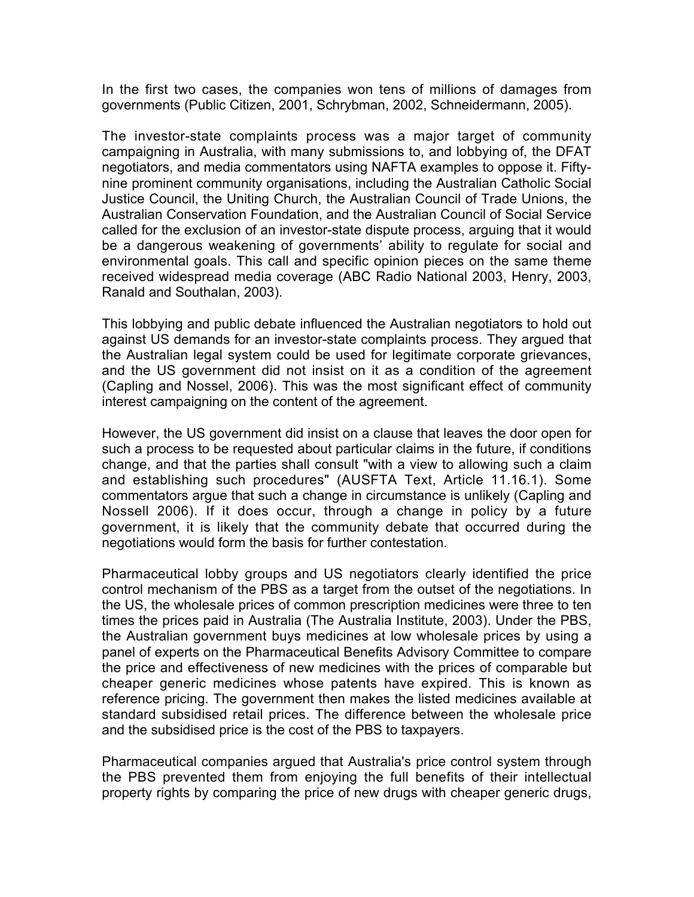In the first two cases, the companies won tens of millions of damages from governments (Public Citizen, 2001, Schrybman, 2002, Schneidermann, 2005).

The investor-state complaints process was a major target of community campaigning in Australia, with many submissions to, and lobbying of, the DFAT negotiators, and media commentators using NAFTA examples to oppose it. Fiftynine prominent community organisations, including the Australian Catholic Social Justice Council, the Uniting Church, the Australian Council of Trade Unions, the Australian Conservation Foundation, and the Australian Council of Social Service called for the exclusion of an investor-state dispute process, arguing that it would be a dangerous weakening of governments' ability to regulate for social and environmental goals. This call and specific opinion pieces on the same theme received widespread media coverage (ABC Radio National 2003, Henry, 2003, Ranald and Southalan, 2003).

This lobbying and public debate influenced the Australian negotiators to hold out against US demands for an investor-state complaints process. They argued that the Australian legal system could be used for legitimate corporate grievances, and the US government did not insist on it as a condition of the agreement (Capling and Nossel, 2006). This was the most significant effect of community interest campaigning on the content of the agreement.

However, the US government did insist on a clause that leaves the door open for such a process to be requested about particular claims in the future, if conditions change, and that the parties shall consult "with a view to allowing such a claim and establishing such procedures" (AUSFTA Text, Article 11.16.1). Some commentators argue that such a change in circumstance is unlikely (Capling and Nossell 2006). If it does occur, through a change in policy by a future government, it is likely that the community debate that occurred during the negotiations would form the basis for further contestation.

Pharmaceutical lobby groups and US negotiators clearly identified the price control mechanism of the PBS as a target from the outset of the negotiations. In the US, the wholesale prices of common prescription medicines were three to ten times the prices paid in Australia (The Australia Institute, 2003). Under the PBS, the Australian government buys medicines at low wholesale prices by using a panel of experts on the Pharmaceutical Benefits Advisory Committee to compare the price and effectiveness of new medicines with the prices of comparable but cheaper generic medicines whose patents have expired. This is known as reference pricing. The government then makes the listed medicines available at standard subsidised retail prices. The difference between the wholesale price and the subsidised price is the cost of the PBS to taxpayers.

Pharmaceutical companies argued that Australia's price control system through the PBS prevented them from enjoying the full benefits of their intellectual property rights by comparing the price of new drugs with cheaper generic drugs,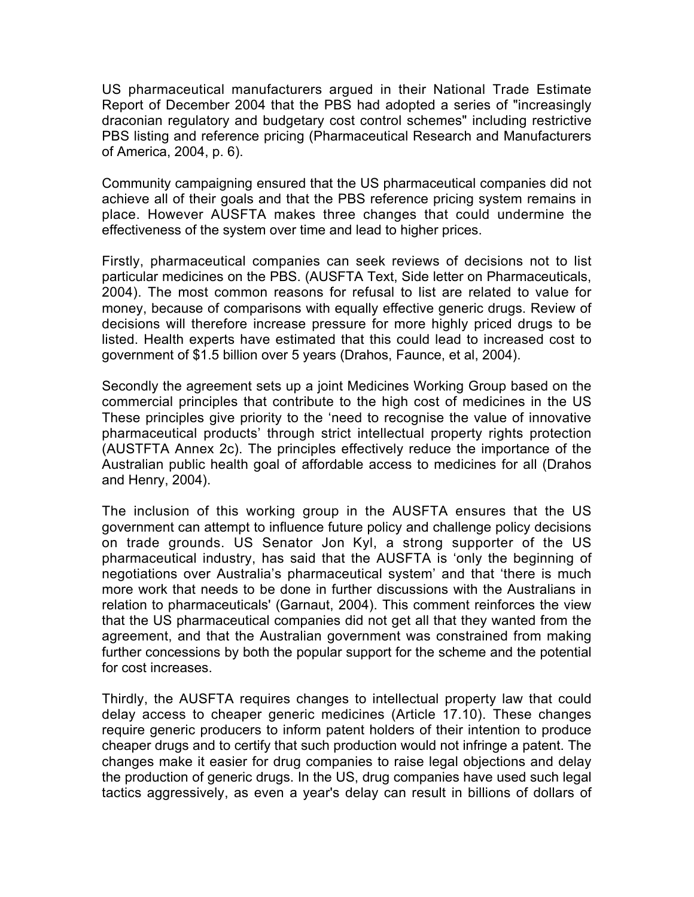US pharmaceutical manufacturers argued in their National Trade Estimate Report of December 2004 that the PBS had adopted a series of "increasingly draconian regulatory and budgetary cost control schemes" including restrictive PBS listing and reference pricing (Pharmaceutical Research and Manufacturers of America, 2004, p. 6).

Community campaigning ensured that the US pharmaceutical companies did not achieve all of their goals and that the PBS reference pricing system remains in place. However AUSFTA makes three changes that could undermine the effectiveness of the system over time and lead to higher prices.

Firstly, pharmaceutical companies can seek reviews of decisions not to list particular medicines on the PBS. (AUSFTA Text, Side letter on Pharmaceuticals, 2004). The most common reasons for refusal to list are related to value for money, because of comparisons with equally effective generic drugs. Review of decisions will therefore increase pressure for more highly priced drugs to be listed. Health experts have estimated that this could lead to increased cost to government of \$1.5 billion over 5 years (Drahos, Faunce, et al, 2004).

Secondly the agreement sets up a joint Medicines Working Group based on the commercial principles that contribute to the high cost of medicines in the US These principles give priority to the 'need to recognise the value of innovative pharmaceutical products' through strict intellectual property rights protection (AUSTFTA Annex 2c). The principles effectively reduce the importance of the Australian public health goal of affordable access to medicines for all (Drahos and Henry, 2004).

The inclusion of this working group in the AUSFTA ensures that the US government can attempt to influence future policy and challenge policy decisions on trade grounds. US Senator Jon Kyl, a strong supporter of the US pharmaceutical industry, has said that the AUSFTA is 'only the beginning of negotiations over Australia's pharmaceutical system' and that 'there is much more work that needs to be done in further discussions with the Australians in relation to pharmaceuticals' (Garnaut, 2004). This comment reinforces the view that the US pharmaceutical companies did not get all that they wanted from the agreement, and that the Australian government was constrained from making further concessions by both the popular support for the scheme and the potential for cost increases.

Thirdly, the AUSFTA requires changes to intellectual property law that could delay access to cheaper generic medicines (Article 17.10). These changes require generic producers to inform patent holders of their intention to produce cheaper drugs and to certify that such production would not infringe a patent. The changes make it easier for drug companies to raise legal objections and delay the production of generic drugs. In the US, drug companies have used such legal tactics aggressively, as even a year's delay can result in billions of dollars of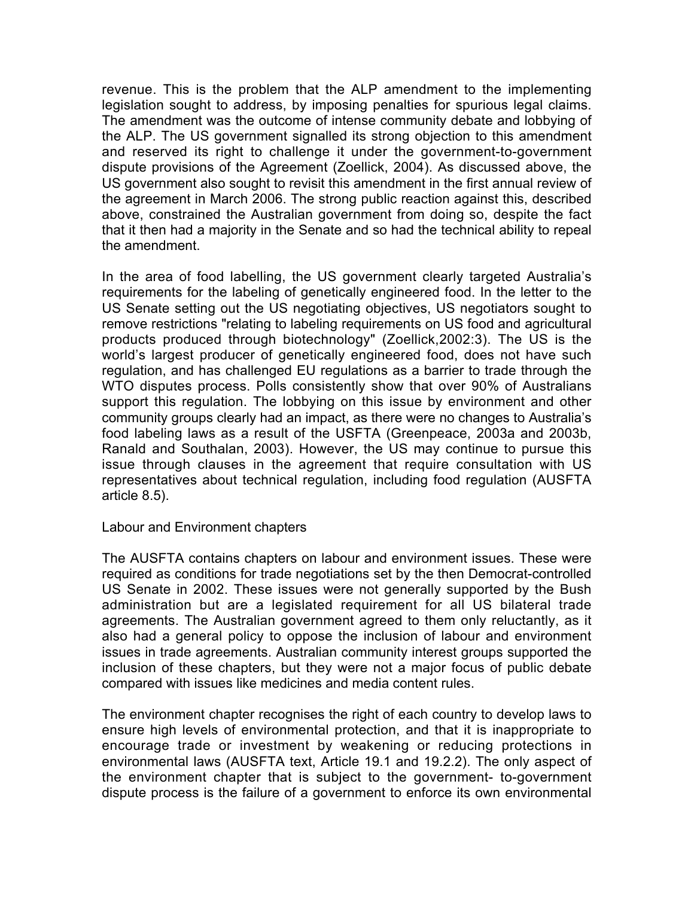revenue. This is the problem that the ALP amendment to the implementing legislation sought to address, by imposing penalties for spurious legal claims. The amendment was the outcome of intense community debate and lobbying of the ALP. The US government signalled its strong objection to this amendment and reserved its right to challenge it under the government-to-government dispute provisions of the Agreement (Zoellick, 2004). As discussed above, the US government also sought to revisit this amendment in the first annual review of the agreement in March 2006. The strong public reaction against this, described above, constrained the Australian government from doing so, despite the fact that it then had a majority in the Senate and so had the technical ability to repeal the amendment.

In the area of food labelling, the US government clearly targeted Australia's requirements for the labeling of genetically engineered food. In the letter to the US Senate setting out the US negotiating objectives, US negotiators sought to remove restrictions "relating to labeling requirements on US food and agricultural products produced through biotechnology" (Zoellick,2002:3). The US is the world's largest producer of genetically engineered food, does not have such regulation, and has challenged EU regulations as a barrier to trade through the WTO disputes process. Polls consistently show that over 90% of Australians support this regulation. The lobbying on this issue by environment and other community groups clearly had an impact, as there were no changes to Australia's food labeling laws as a result of the USFTA (Greenpeace, 2003a and 2003b, Ranald and Southalan, 2003). However, the US may continue to pursue this issue through clauses in the agreement that require consultation with US representatives about technical regulation, including food regulation (AUSFTA article 8.5).

## Labour and Environment chapters

The AUSFTA contains chapters on labour and environment issues. These were required as conditions for trade negotiations set by the then Democrat-controlled US Senate in 2002. These issues were not generally supported by the Bush administration but are a legislated requirement for all US bilateral trade agreements. The Australian government agreed to them only reluctantly, as it also had a general policy to oppose the inclusion of labour and environment issues in trade agreements. Australian community interest groups supported the inclusion of these chapters, but they were not a major focus of public debate compared with issues like medicines and media content rules.

The environment chapter recognises the right of each country to develop laws to ensure high levels of environmental protection, and that it is inappropriate to encourage trade or investment by weakening or reducing protections in environmental laws (AUSFTA text, Article 19.1 and 19.2.2). The only aspect of the environment chapter that is subject to the government- to-government dispute process is the failure of a government to enforce its own environmental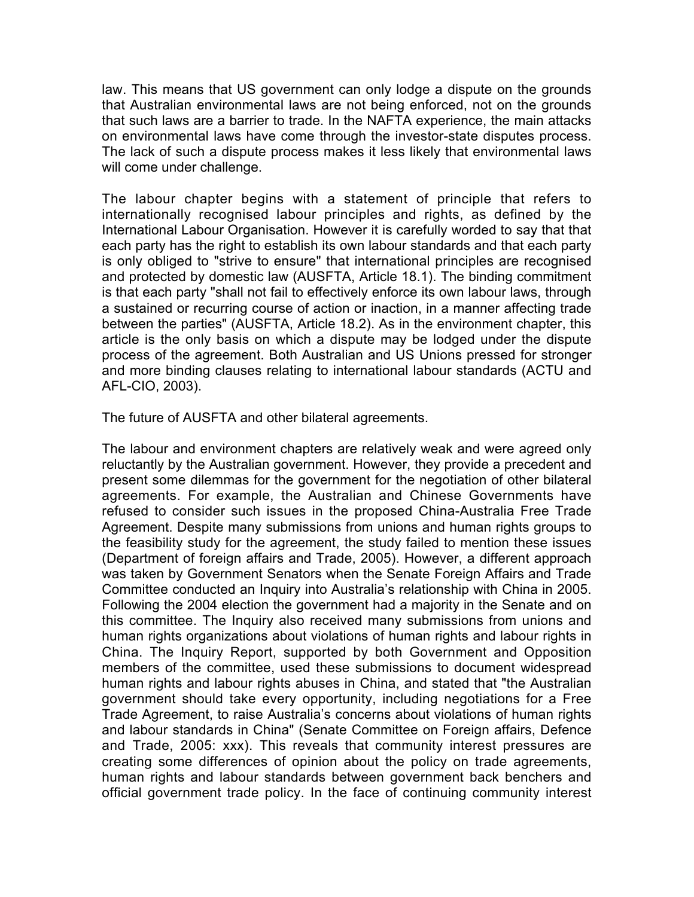law. This means that US government can only lodge a dispute on the grounds that Australian environmental laws are not being enforced, not on the grounds that such laws are a barrier to trade. In the NAFTA experience, the main attacks on environmental laws have come through the investor-state disputes process. The lack of such a dispute process makes it less likely that environmental laws will come under challenge.

The labour chapter begins with a statement of principle that refers to internationally recognised labour principles and rights, as defined by the International Labour Organisation. However it is carefully worded to say that that each party has the right to establish its own labour standards and that each party is only obliged to "strive to ensure" that international principles are recognised and protected by domestic law (AUSFTA, Article 18.1). The binding commitment is that each party "shall not fail to effectively enforce its own labour laws, through a sustained or recurring course of action or inaction, in a manner affecting trade between the parties" (AUSFTA, Article 18.2). As in the environment chapter, this article is the only basis on which a dispute may be lodged under the dispute process of the agreement. Both Australian and US Unions pressed for stronger and more binding clauses relating to international labour standards (ACTU and AFL-CIO, 2003).

The future of AUSFTA and other bilateral agreements.

The labour and environment chapters are relatively weak and were agreed only reluctantly by the Australian government. However, they provide a precedent and present some dilemmas for the government for the negotiation of other bilateral agreements. For example, the Australian and Chinese Governments have refused to consider such issues in the proposed China-Australia Free Trade Agreement. Despite many submissions from unions and human rights groups to the feasibility study for the agreement, the study failed to mention these issues (Department of foreign affairs and Trade, 2005). However, a different approach was taken by Government Senators when the Senate Foreign Affairs and Trade Committee conducted an Inquiry into Australia's relationship with China in 2005. Following the 2004 election the government had a majority in the Senate and on this committee. The Inquiry also received many submissions from unions and human rights organizations about violations of human rights and labour rights in China. The Inquiry Report, supported by both Government and Opposition members of the committee, used these submissions to document widespread human rights and labour rights abuses in China, and stated that "the Australian government should take every opportunity, including negotiations for a Free Trade Agreement, to raise Australia's concerns about violations of human rights and labour standards in China" (Senate Committee on Foreign affairs, Defence and Trade, 2005: xxx). This reveals that community interest pressures are creating some differences of opinion about the policy on trade agreements, human rights and labour standards between government back benchers and official government trade policy. In the face of continuing community interest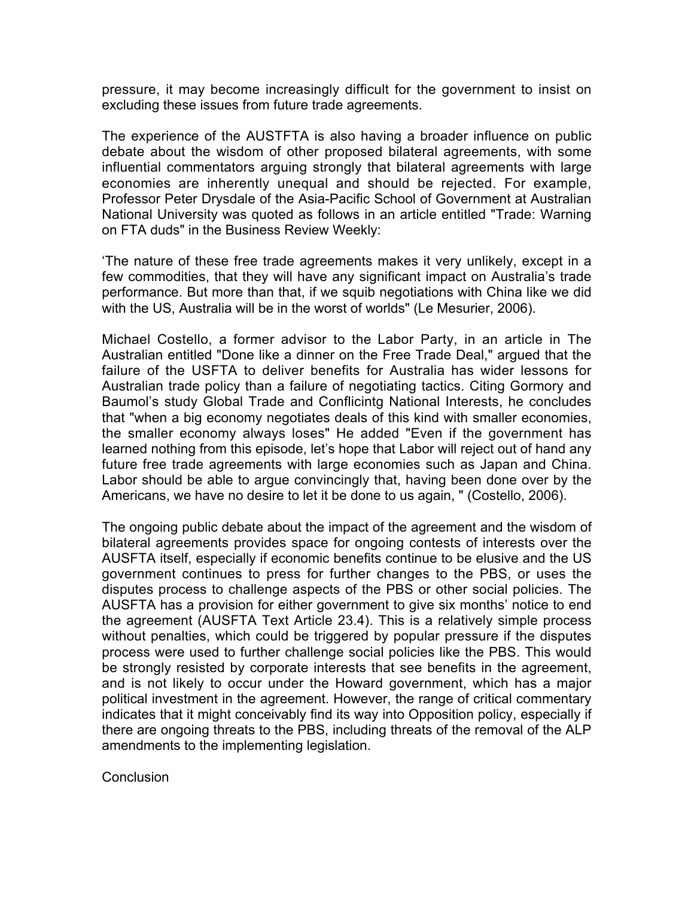pressure, it may become increasingly difficult for the government to insist on excluding these issues from future trade agreements.

The experience of the AUSTFTA is also having a broader influence on public debate about the wisdom of other proposed bilateral agreements, with some influential commentators arguing strongly that bilateral agreements with large economies are inherently unequal and should be rejected. For example, Professor Peter Drysdale of the Asia-Pacific School of Government at Australian National University was quoted as follows in an article entitled "Trade: Warning on FTA duds" in the Business Review Weekly:

'The nature of these free trade agreements makes it very unlikely, except in a few commodities, that they will have any significant impact on Australia's trade performance. But more than that, if we squib negotiations with China like we did with the US, Australia will be in the worst of worlds" (Le Mesurier, 2006).

Michael Costello, a former advisor to the Labor Party, in an article in The Australian entitled "Done like a dinner on the Free Trade Deal," argued that the failure of the USFTA to deliver benefits for Australia has wider lessons for Australian trade policy than a failure of negotiating tactics. Citing Gormory and Baumol's study Global Trade and Conflicintg National Interests, he concludes that "when a big economy negotiates deals of this kind with smaller economies, the smaller economy always loses" He added "Even if the government has learned nothing from this episode, let's hope that Labor will reject out of hand any future free trade agreements with large economies such as Japan and China. Labor should be able to argue convincingly that, having been done over by the Americans, we have no desire to let it be done to us again, " (Costello, 2006).

The ongoing public debate about the impact of the agreement and the wisdom of bilateral agreements provides space for ongoing contests of interests over the AUSFTA itself, especially if economic benefits continue to be elusive and the US government continues to press for further changes to the PBS, or uses the disputes process to challenge aspects of the PBS or other social policies. The AUSFTA has a provision for either government to give six months' notice to end the agreement (AUSFTA Text Article 23.4). This is a relatively simple process without penalties, which could be triggered by popular pressure if the disputes process were used to further challenge social policies like the PBS. This would be strongly resisted by corporate interests that see benefits in the agreement, and is not likely to occur under the Howard government, which has a major political investment in the agreement. However, the range of critical commentary indicates that it might conceivably find its way into Opposition policy, especially if there are ongoing threats to the PBS, including threats of the removal of the ALP amendments to the implementing legislation.

**Conclusion**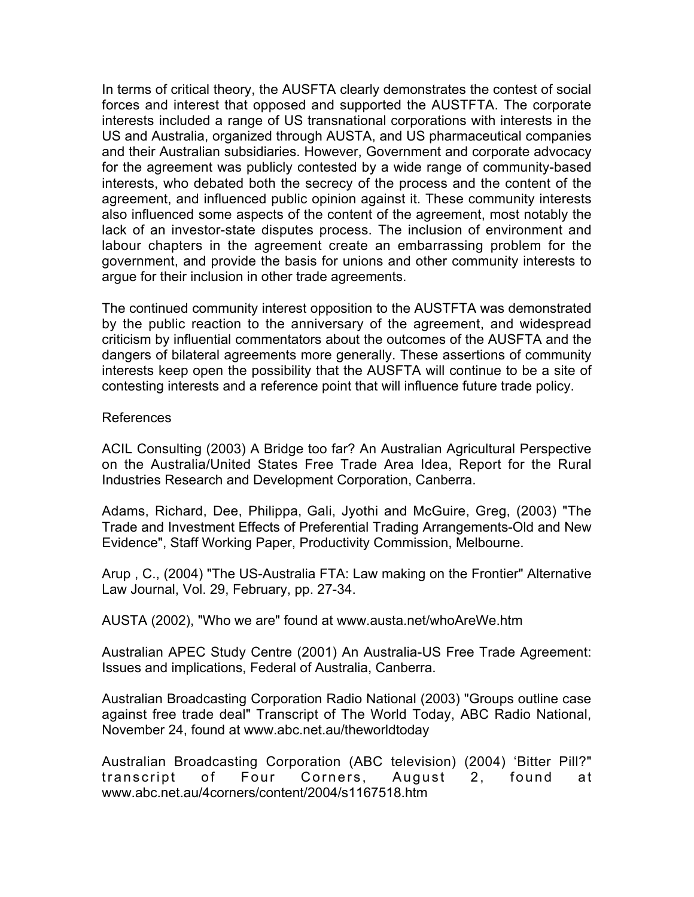In terms of critical theory, the AUSFTA clearly demonstrates the contest of social forces and interest that opposed and supported the AUSTFTA. The corporate interests included a range of US transnational corporations with interests in the US and Australia, organized through AUSTA, and US pharmaceutical companies and their Australian subsidiaries. However, Government and corporate advocacy for the agreement was publicly contested by a wide range of community-based interests, who debated both the secrecy of the process and the content of the agreement, and influenced public opinion against it. These community interests also influenced some aspects of the content of the agreement, most notably the lack of an investor-state disputes process. The inclusion of environment and labour chapters in the agreement create an embarrassing problem for the government, and provide the basis for unions and other community interests to argue for their inclusion in other trade agreements.

The continued community interest opposition to the AUSTFTA was demonstrated by the public reaction to the anniversary of the agreement, and widespread criticism by influential commentators about the outcomes of the AUSFTA and the dangers of bilateral agreements more generally. These assertions of community interests keep open the possibility that the AUSFTA will continue to be a site of contesting interests and a reference point that will influence future trade policy.

## References

ACIL Consulting (2003) A Bridge too far? An Australian Agricultural Perspective on the Australia/United States Free Trade Area Idea, Report for the Rural Industries Research and Development Corporation, Canberra.

Adams, Richard, Dee, Philippa, Gali, Jyothi and McGuire, Greg, (2003) "The Trade and Investment Effects of Preferential Trading Arrangements-Old and New Evidence", Staff Working Paper, Productivity Commission, Melbourne.

Arup , C., (2004) "The US-Australia FTA: Law making on the Frontier" Alternative Law Journal, Vol. 29, February, pp. 27-34.

AUSTA (2002), "Who we are" found at www.austa.net/whoAreWe.htm

Australian APEC Study Centre (2001) An Australia-US Free Trade Agreement: Issues and implications, Federal of Australia, Canberra.

Australian Broadcasting Corporation Radio National (2003) "Groups outline case against free trade deal" Transcript of The World Today, ABC Radio National, November 24, found at www.abc.net.au/theworldtoday

Australian Broadcasting Corporation (ABC television) (2004) 'Bitter Pill?" transcript of Four Corners, August 2, found at www.abc.net.au/4corners/content/2004/s1167518.htm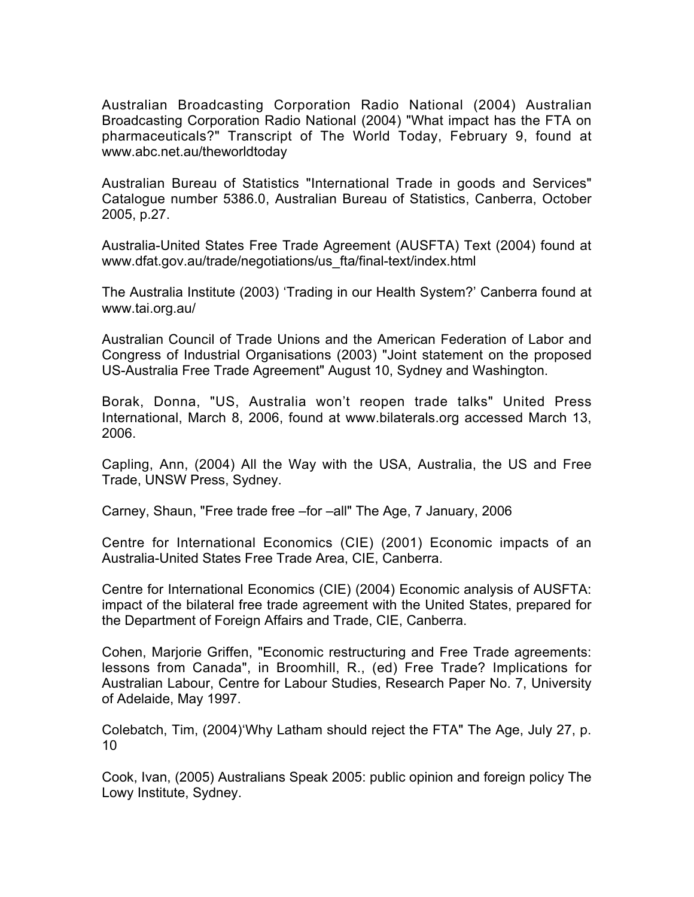Australian Broadcasting Corporation Radio National (2004) Australian Broadcasting Corporation Radio National (2004) "What impact has the FTA on pharmaceuticals?" Transcript of The World Today, February 9, found at www.abc.net.au/theworldtoday

Australian Bureau of Statistics "International Trade in goods and Services" Catalogue number 5386.0, Australian Bureau of Statistics, Canberra, October 2005, p.27.

Australia-United States Free Trade Agreement (AUSFTA) Text (2004) found at www.dfat.gov.au/trade/negotiations/us\_fta/final-text/index.html

The Australia Institute (2003) 'Trading in our Health System?' Canberra found at www.tai.org.au/

Australian Council of Trade Unions and the American Federation of Labor and Congress of Industrial Organisations (2003) "Joint statement on the proposed US-Australia Free Trade Agreement" August 10, Sydney and Washington.

Borak, Donna, "US, Australia won't reopen trade talks" United Press International, March 8, 2006, found at www.bilaterals.org accessed March 13, 2006.

Capling, Ann, (2004) All the Way with the USA, Australia, the US and Free Trade, UNSW Press, Sydney.

Carney, Shaun, "Free trade free –for –all" The Age, 7 January, 2006

Centre for International Economics (CIE) (2001) Economic impacts of an Australia-United States Free Trade Area, CIE, Canberra.

Centre for International Economics (CIE) (2004) Economic analysis of AUSFTA: impact of the bilateral free trade agreement with the United States, prepared for the Department of Foreign Affairs and Trade, CIE, Canberra.

Cohen, Marjorie Griffen, "Economic restructuring and Free Trade agreements: lessons from Canada", in Broomhill, R., (ed) Free Trade? Implications for Australian Labour, Centre for Labour Studies, Research Paper No. 7, University of Adelaide, May 1997.

Colebatch, Tim, (2004)'Why Latham should reject the FTA" The Age, July 27, p. 10

Cook, Ivan, (2005) Australians Speak 2005: public opinion and foreign policy The Lowy Institute, Sydney.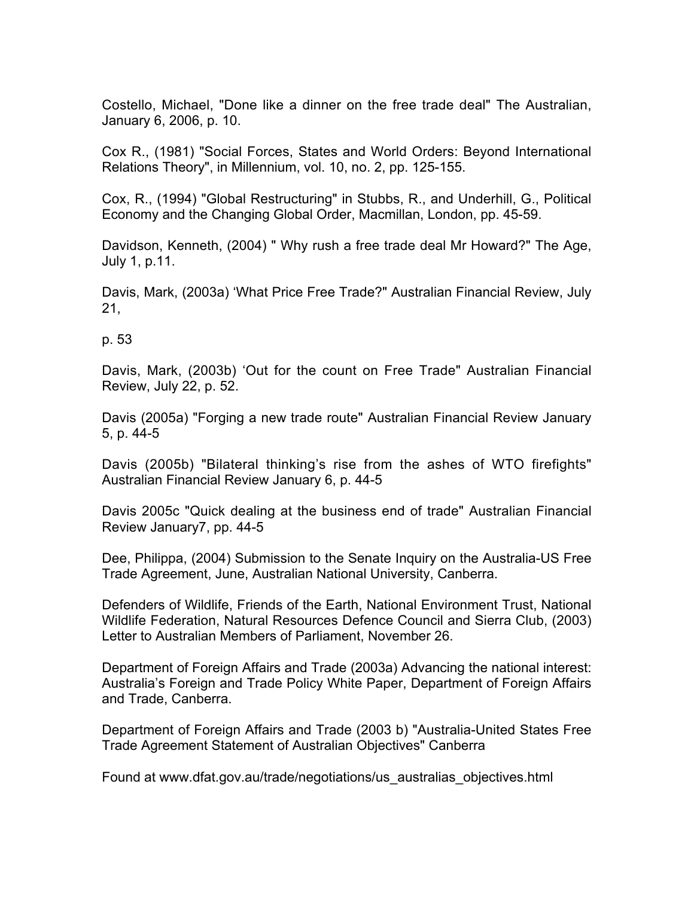Costello, Michael, "Done like a dinner on the free trade deal" The Australian, January 6, 2006, p. 10.

Cox R., (1981) "Social Forces, States and World Orders: Beyond International Relations Theory", in Millennium, vol. 10, no. 2, pp. 125-155.

Cox, R., (1994) "Global Restructuring" in Stubbs, R., and Underhill, G., Political Economy and the Changing Global Order, Macmillan, London, pp. 45-59.

Davidson, Kenneth, (2004) " Why rush a free trade deal Mr Howard?" The Age, July 1, p.11.

Davis, Mark, (2003a) 'What Price Free Trade?" Australian Financial Review, July 21,

p. 53

Davis, Mark, (2003b) 'Out for the count on Free Trade" Australian Financial Review, July 22, p. 52.

Davis (2005a) "Forging a new trade route" Australian Financial Review January 5, p. 44-5

Davis (2005b) "Bilateral thinking's rise from the ashes of WTO firefights" Australian Financial Review January 6, p. 44-5

Davis 2005c "Quick dealing at the business end of trade" Australian Financial Review January7, pp. 44-5

Dee, Philippa, (2004) Submission to the Senate Inquiry on the Australia-US Free Trade Agreement, June, Australian National University, Canberra.

Defenders of Wildlife, Friends of the Earth, National Environment Trust, National Wildlife Federation, Natural Resources Defence Council and Sierra Club, (2003) Letter to Australian Members of Parliament, November 26.

Department of Foreign Affairs and Trade (2003a) Advancing the national interest: Australia's Foreign and Trade Policy White Paper, Department of Foreign Affairs and Trade, Canberra.

Department of Foreign Affairs and Trade (2003 b) "Australia-United States Free Trade Agreement Statement of Australian Objectives" Canberra

Found at www.dfat.gov.au/trade/negotiations/us\_australias\_objectives.html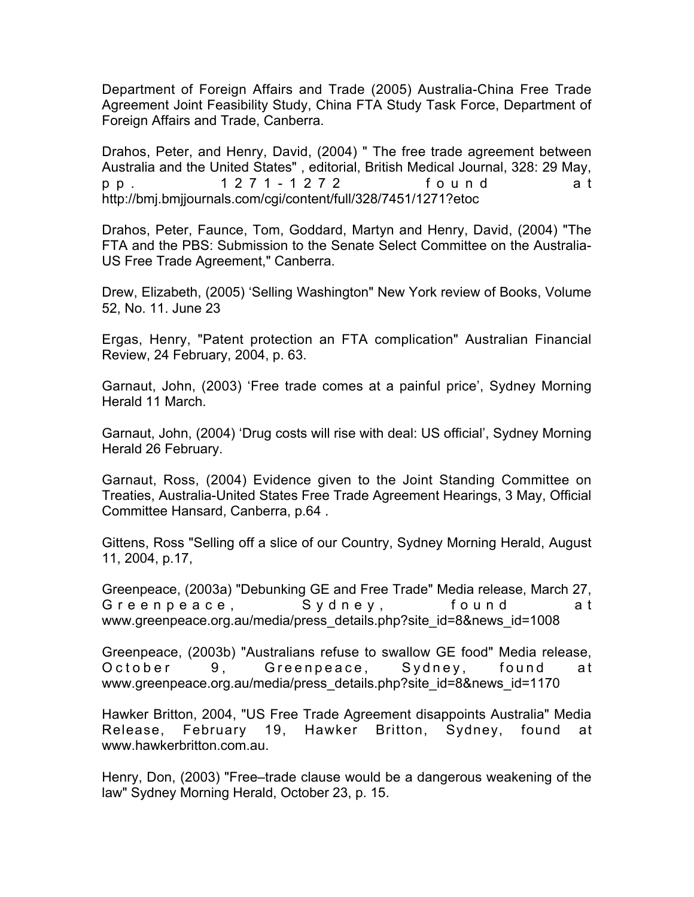Department of Foreign Affairs and Trade (2005) Australia-China Free Trade Agreement Joint Feasibility Study, China FTA Study Task Force, Department of Foreign Affairs and Trade, Canberra.

Drahos, Peter, and Henry, David, (2004) " The free trade agreement between Australia and the United States" , editorial, British Medical Journal, 328: 29 May, pp. 1271-1272 found a t http://bmj.bmjjournals.com/cgi/content/full/328/7451/1271?etoc

Drahos, Peter, Faunce, Tom, Goddard, Martyn and Henry, David, (2004) "The FTA and the PBS: Submission to the Senate Select Committee on the Australia-US Free Trade Agreement," Canberra.

Drew, Elizabeth, (2005) 'Selling Washington" New York review of Books, Volume 52, No. 11. June 23

Ergas, Henry, "Patent protection an FTA complication" Australian Financial Review, 24 February, 2004, p. 63.

Garnaut, John, (2003) 'Free trade comes at a painful price', Sydney Morning Herald 11 March.

Garnaut, John, (2004) 'Drug costs will rise with deal: US official', Sydney Morning Herald 26 February.

Garnaut, Ross, (2004) Evidence given to the Joint Standing Committee on Treaties, Australia-United States Free Trade Agreement Hearings, 3 May, Official Committee Hansard, Canberra, p.64 .

Gittens, Ross "Selling off a slice of our Country, Sydney Morning Herald, August 11, 2004, p.17,

Greenpeace, (2003a) "Debunking GE and Free Trade" Media release, March 27, Greenpeace, Sydney, found at www.greenpeace.org.au/media/press\_details.php?site\_id=8&news\_id=1008

Greenpeace, (2003b) "Australians refuse to swallow GE food" Media release, October 9, Greenpeace, Sydney, found at www.greenpeace.org.au/media/press\_details.php?site\_id=8&news\_id=1170

Hawker Britton, 2004, "US Free Trade Agreement disappoints Australia" Media Release, February 19, Hawker Britton, Sydney, found at www.hawkerbritton.com.au.

Henry, Don, (2003) "Free–trade clause would be a dangerous weakening of the law" Sydney Morning Herald, October 23, p. 15.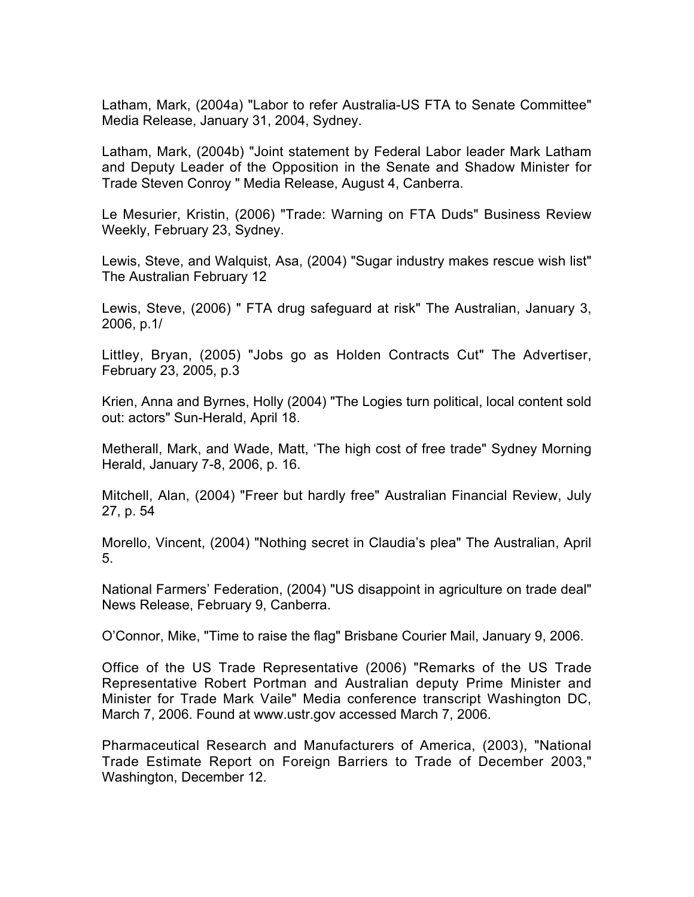Latham, Mark, (2004a) "Labor to refer Australia-US FTA to Senate Committee" Media Release, January 31, 2004, Sydney.

Latham, Mark, (2004b) "Joint statement by Federal Labor leader Mark Latham and Deputy Leader of the Opposition in the Senate and Shadow Minister for Trade Steven Conroy " Media Release, August 4, Canberra.

Le Mesurier, Kristin, (2006) "Trade: Warning on FTA Duds" Business Review Weekly, February 23, Sydney.

Lewis, Steve, and Walquist, Asa, (2004) "Sugar industry makes rescue wish list" The Australian February 12

Lewis, Steve, (2006) " FTA drug safeguard at risk" The Australian, January 3, 2006, p.1/

Littley, Bryan, (2005) "Jobs go as Holden Contracts Cut" The Advertiser, February 23, 2005, p.3

Krien, Anna and Byrnes, Holly (2004) "The Logies turn political, local content sold out: actors" Sun-Herald, April 18.

Metherall, Mark, and Wade, Matt, 'The high cost of free trade" Sydney Morning Herald, January 7-8, 2006, p. 16.

Mitchell, Alan, (2004) "Freer but hardly free" Australian Financial Review, July 27, p. 54

Morello, Vincent, (2004) "Nothing secret in Claudia's plea" The Australian, April 5.

National Farmers' Federation, (2004) "US disappoint in agriculture on trade deal" News Release, February 9, Canberra.

O'Connor, Mike, "Time to raise the flag" Brisbane Courier Mail, January 9, 2006.

Office of the US Trade Representative (2006) "Remarks of the US Trade Representative Robert Portman and Australian deputy Prime Minister and Minister for Trade Mark Vaile" Media conference transcript Washington DC, March 7, 2006. Found at www.ustr.gov accessed March 7, 2006.

Pharmaceutical Research and Manufacturers of America, (2003), "National Trade Estimate Report on Foreign Barriers to Trade of December 2003," Washington, December 12.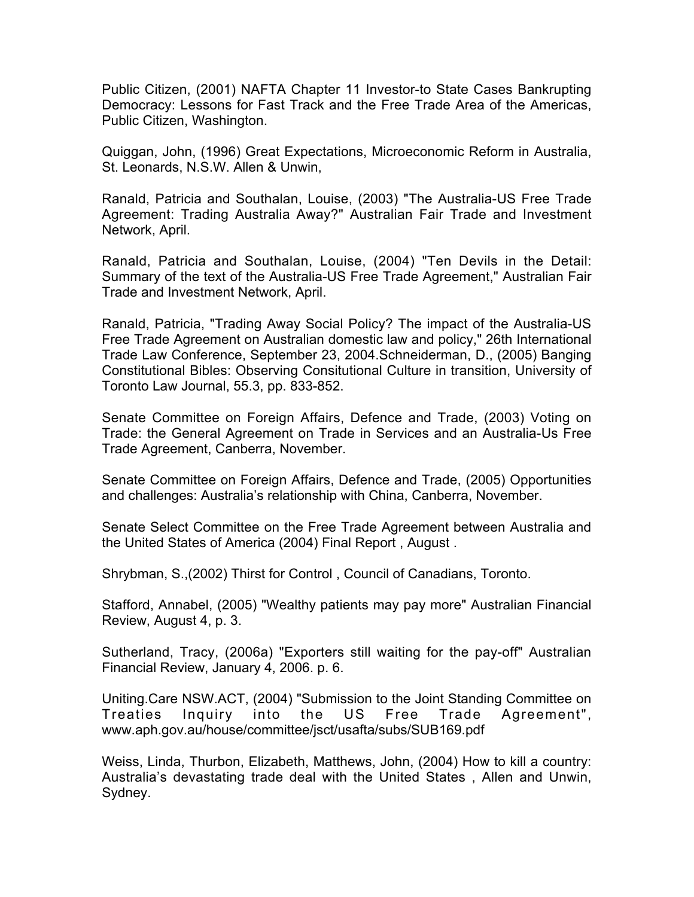Public Citizen, (2001) NAFTA Chapter 11 Investor-to State Cases Bankrupting Democracy: Lessons for Fast Track and the Free Trade Area of the Americas, Public Citizen, Washington.

Quiggan, John, (1996) Great Expectations, Microeconomic Reform in Australia, St. Leonards, N.S.W. Allen & Unwin,

Ranald, Patricia and Southalan, Louise, (2003) "The Australia-US Free Trade Agreement: Trading Australia Away?" Australian Fair Trade and Investment Network, April.

Ranald, Patricia and Southalan, Louise, (2004) "Ten Devils in the Detail: Summary of the text of the Australia-US Free Trade Agreement," Australian Fair Trade and Investment Network, April.

Ranald, Patricia, "Trading Away Social Policy? The impact of the Australia-US Free Trade Agreement on Australian domestic law and policy," 26th International Trade Law Conference, September 23, 2004.Schneiderman, D., (2005) Banging Constitutional Bibles: Observing Consitutional Culture in transition, University of Toronto Law Journal, 55.3, pp. 833-852.

Senate Committee on Foreign Affairs, Defence and Trade, (2003) Voting on Trade: the General Agreement on Trade in Services and an Australia-Us Free Trade Agreement, Canberra, November.

Senate Committee on Foreign Affairs, Defence and Trade, (2005) Opportunities and challenges: Australia's relationship with China, Canberra, November.

Senate Select Committee on the Free Trade Agreement between Australia and the United States of America (2004) Final Report , August .

Shrybman, S.,(2002) Thirst for Control , Council of Canadians, Toronto.

Stafford, Annabel, (2005) "Wealthy patients may pay more" Australian Financial Review, August 4, p. 3.

Sutherland, Tracy, (2006a) "Exporters still waiting for the pay-off" Australian Financial Review, January 4, 2006. p. 6.

Uniting.Care NSW.ACT, (2004) "Submission to the Joint Standing Committee on Treaties Inquiry into the US Free Trade Agreement", www.aph.gov.au/house/committee/jsct/usafta/subs/SUB169.pdf

Weiss, Linda, Thurbon, Elizabeth, Matthews, John, (2004) How to kill a country: Australia's devastating trade deal with the United States , Allen and Unwin, Sydney.